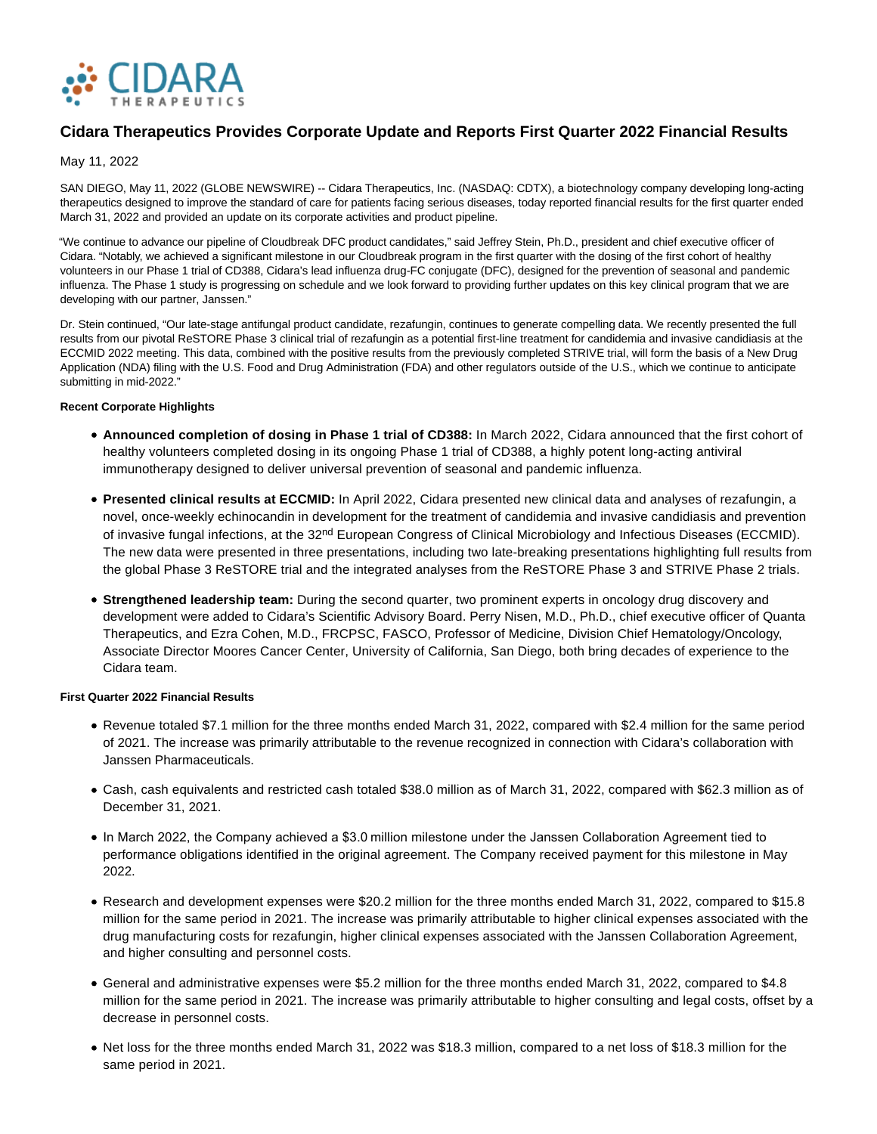

# **Cidara Therapeutics Provides Corporate Update and Reports First Quarter 2022 Financial Results**

# May 11, 2022

SAN DIEGO, May 11, 2022 (GLOBE NEWSWIRE) -- Cidara Therapeutics, Inc. (NASDAQ: CDTX), a biotechnology company developing long-acting therapeutics designed to improve the standard of care for patients facing serious diseases, today reported financial results for the first quarter ended March 31, 2022 and provided an update on its corporate activities and product pipeline.

"We continue to advance our pipeline of Cloudbreak DFC product candidates," said Jeffrey Stein, Ph.D., president and chief executive officer of Cidara. "Notably, we achieved a significant milestone in our Cloudbreak program in the first quarter with the dosing of the first cohort of healthy volunteers in our Phase 1 trial of CD388, Cidara's lead influenza drug-FC conjugate (DFC), designed for the prevention of seasonal and pandemic influenza. The Phase 1 study is progressing on schedule and we look forward to providing further updates on this key clinical program that we are developing with our partner, Janssen."

Dr. Stein continued, "Our late-stage antifungal product candidate, rezafungin, continues to generate compelling data. We recently presented the full results from our pivotal ReSTORE Phase 3 clinical trial of rezafungin as a potential first-line treatment for candidemia and invasive candidiasis at the ECCMID 2022 meeting. This data, combined with the positive results from the previously completed STRIVE trial, will form the basis of a New Drug Application (NDA) filing with the U.S. Food and Drug Administration (FDA) and other regulators outside of the U.S., which we continue to anticipate submitting in mid-2022."

## **Recent Corporate Highlights**

- **Announced completion of dosing in Phase 1 trial of CD388:** In March 2022, Cidara announced that the first cohort of healthy volunteers completed dosing in its ongoing Phase 1 trial of CD388, a highly potent long-acting antiviral immunotherapy designed to deliver universal prevention of seasonal and pandemic influenza.
- **Presented clinical results at ECCMID:** In April 2022, Cidara presented new clinical data and analyses of rezafungin, a novel, once-weekly echinocandin in development for the treatment of candidemia and invasive candidiasis and prevention of invasive fungal infections, at the 32<sup>nd</sup> European Congress of Clinical Microbiology and Infectious Diseases (ECCMID). The new data were presented in three presentations, including two late-breaking presentations highlighting full results from the global Phase 3 ReSTORE trial and the integrated analyses from the ReSTORE Phase 3 and STRIVE Phase 2 trials.
- **Strengthened leadership team:** During the second quarter, two prominent experts in oncology drug discovery and development were added to Cidara's Scientific Advisory Board. Perry Nisen, M.D., Ph.D., chief executive officer of Quanta Therapeutics, and Ezra Cohen, M.D., FRCPSC, FASCO, Professor of Medicine, Division Chief Hematology/Oncology, Associate Director Moores Cancer Center, University of California, San Diego, both bring decades of experience to the Cidara team.

## **First Quarter 2022 Financial Results**

- Revenue totaled \$7.1 million for the three months ended March 31, 2022, compared with \$2.4 million for the same period of 2021. The increase was primarily attributable to the revenue recognized in connection with Cidara's collaboration with Janssen Pharmaceuticals.
- Cash, cash equivalents and restricted cash totaled \$38.0 million as of March 31, 2022, compared with \$62.3 million as of December 31, 2021.
- In March 2022, the Company achieved a \$3.0 million milestone under the Janssen Collaboration Agreement tied to performance obligations identified in the original agreement. The Company received payment for this milestone in May 2022.
- Research and development expenses were \$20.2 million for the three months ended March 31, 2022, compared to \$15.8 million for the same period in 2021. The increase was primarily attributable to higher clinical expenses associated with the drug manufacturing costs for rezafungin, higher clinical expenses associated with the Janssen Collaboration Agreement, and higher consulting and personnel costs.
- General and administrative expenses were \$5.2 million for the three months ended March 31, 2022, compared to \$4.8 million for the same period in 2021. The increase was primarily attributable to higher consulting and legal costs, offset by a decrease in personnel costs.
- Net loss for the three months ended March 31, 2022 was \$18.3 million, compared to a net loss of \$18.3 million for the same period in 2021.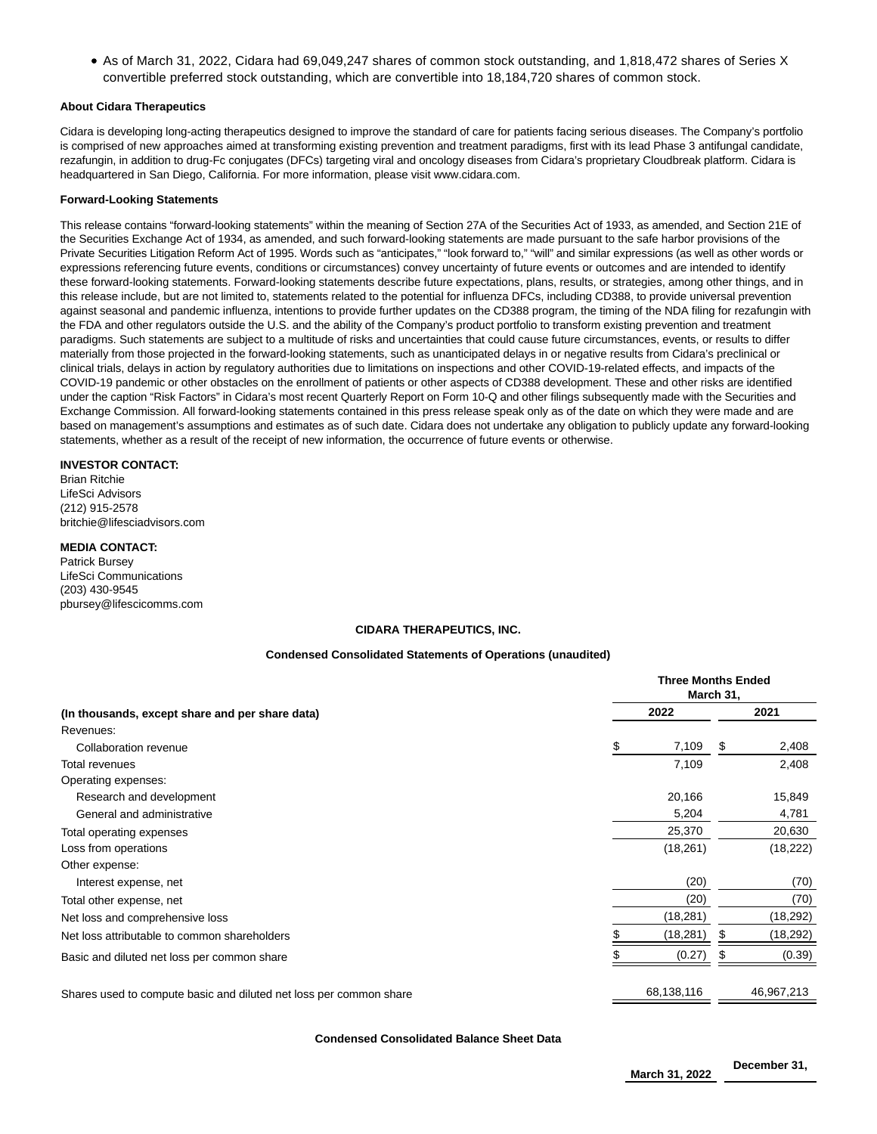• As of March 31, 2022, Cidara had 69,049,247 shares of common stock outstanding, and 1,818,472 shares of Series X convertible preferred stock outstanding, which are convertible into 18,184,720 shares of common stock.

## **About Cidara Therapeutics**

Cidara is developing long-acting therapeutics designed to improve the standard of care for patients facing serious diseases. The Company's portfolio is comprised of new approaches aimed at transforming existing prevention and treatment paradigms, first with its lead Phase 3 antifungal candidate, rezafungin, in addition to drug-Fc conjugates (DFCs) targeting viral and oncology diseases from Cidara's proprietary Cloudbreak platform. Cidara is headquartered in San Diego, California. For more information, please visit www.cidara.com.

#### **Forward-Looking Statements**

This release contains "forward-looking statements" within the meaning of Section 27A of the Securities Act of 1933, as amended, and Section 21E of the Securities Exchange Act of 1934, as amended, and such forward-looking statements are made pursuant to the safe harbor provisions of the Private Securities Litigation Reform Act of 1995. Words such as "anticipates," "look forward to," "will" and similar expressions (as well as other words or expressions referencing future events, conditions or circumstances) convey uncertainty of future events or outcomes and are intended to identify these forward-looking statements. Forward-looking statements describe future expectations, plans, results, or strategies, among other things, and in this release include, but are not limited to, statements related to the potential for influenza DFCs, including CD388, to provide universal prevention against seasonal and pandemic influenza, intentions to provide further updates on the CD388 program, the timing of the NDA filing for rezafungin with the FDA and other regulators outside the U.S. and the ability of the Company's product portfolio to transform existing prevention and treatment paradigms. Such statements are subject to a multitude of risks and uncertainties that could cause future circumstances, events, or results to differ materially from those projected in the forward-looking statements, such as unanticipated delays in or negative results from Cidara's preclinical or clinical trials, delays in action by regulatory authorities due to limitations on inspections and other COVID-19-related effects, and impacts of the COVID-19 pandemic or other obstacles on the enrollment of patients or other aspects of CD388 development. These and other risks are identified under the caption "Risk Factors" in Cidara's most recent Quarterly Report on Form 10-Q and other filings subsequently made with the Securities and Exchange Commission. All forward-looking statements contained in this press release speak only as of the date on which they were made and are based on management's assumptions and estimates as of such date. Cidara does not undertake any obligation to publicly update any forward-looking statements, whether as a result of the receipt of new information, the occurrence of future events or otherwise.

## **INVESTOR CONTACT:**

Brian Ritchie LifeSci Advisors (212) 915-2578 britchie@lifesciadvisors.com

## **MEDIA CONTACT:**

Patrick Bursey LifeSci Communications (203) 430-9545 pbursey@lifescicomms.com

## **CIDARA THERAPEUTICS, INC.**

### **Condensed Consolidated Statements of Operations (unaudited)**

|                                                                    | <b>Three Months Ended</b><br>March 31, |            |   |            |  |
|--------------------------------------------------------------------|----------------------------------------|------------|---|------------|--|
| (In thousands, except share and per share data)                    |                                        | 2022       |   | 2021       |  |
| Revenues:                                                          |                                        |            |   |            |  |
| Collaboration revenue                                              | S                                      | 7,109      | S | 2,408      |  |
| Total revenues                                                     |                                        | 7,109      |   | 2,408      |  |
| Operating expenses:                                                |                                        |            |   |            |  |
| Research and development                                           |                                        | 20,166     |   | 15,849     |  |
| General and administrative                                         |                                        | 5,204      |   | 4,781      |  |
| Total operating expenses                                           |                                        | 25,370     |   | 20,630     |  |
| Loss from operations                                               |                                        | (18,261)   |   | (18, 222)  |  |
| Other expense:                                                     |                                        |            |   |            |  |
| Interest expense, net                                              |                                        | (20)       |   | (70)       |  |
| Total other expense, net                                           |                                        | (20)       |   | (70)       |  |
| Net loss and comprehensive loss                                    |                                        | (18, 281)  |   | (18,292)   |  |
| Net loss attributable to common shareholders                       |                                        | (18, 281)  | S | (18, 292)  |  |
| Basic and diluted net loss per common share                        |                                        | (0.27)     |   | (0.39)     |  |
| Shares used to compute basic and diluted net loss per common share |                                        | 68,138,116 |   | 46,967,213 |  |

**Condensed Consolidated Balance Sheet Data**